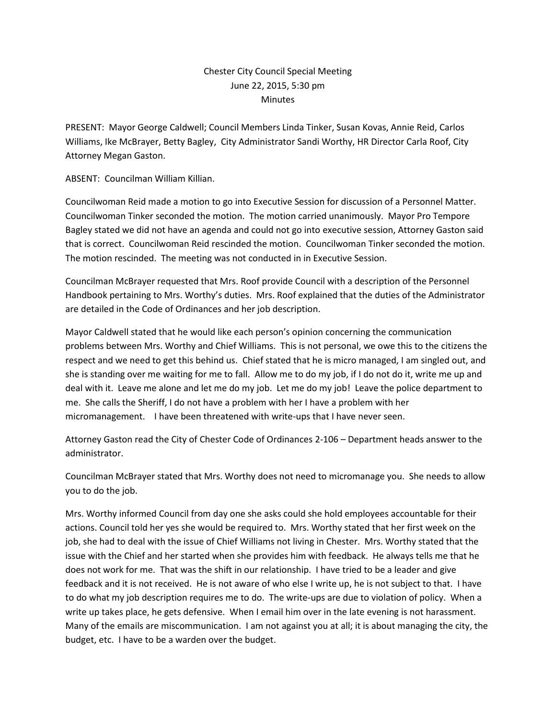### Chester City Council Special Meeting June 22, 2015, 5:30 pm **Minutes**

PRESENT: Mayor George Caldwell; Council Members Linda Tinker, Susan Kovas, Annie Reid, Carlos Williams, Ike McBrayer, Betty Bagley, City Administrator Sandi Worthy, HR Director Carla Roof, City Attorney Megan Gaston.

ABSENT: Councilman William Killian.

Councilwoman Reid made a motion to go into Executive Session for discussion of a Personnel Matter. Councilwoman Tinker seconded the motion. The motion carried unanimously. Mayor Pro Tempore Bagley stated we did not have an agenda and could not go into executive session, Attorney Gaston said that is correct. Councilwoman Reid rescinded the motion. Councilwoman Tinker seconded the motion. The motion rescinded. The meeting was not conducted in in Executive Session.

Councilman McBrayer requested that Mrs. Roof provide Council with a description of the Personnel Handbook pertaining to Mrs. Worthy's duties. Mrs. Roof explained that the duties of the Administrator are detailed in the Code of Ordinances and her job description.

Mayor Caldwell stated that he would like each person's opinion concerning the communication problems between Mrs. Worthy and Chief Williams. This is not personal, we owe this to the citizens the respect and we need to get this behind us. Chief stated that he is micro managed, I am singled out, and she is standing over me waiting for me to fall. Allow me to do my job, if I do not do it, write me up and deal with it. Leave me alone and let me do my job. Let me do my job! Leave the police department to me. She calls the Sheriff, I do not have a problem with her I have a problem with her micromanagement. I have been threatened with write-ups that I have never seen.

Attorney Gaston read the City of Chester Code of Ordinances 2-106 – Department heads answer to the administrator.

Councilman McBrayer stated that Mrs. Worthy does not need to micromanage you. She needs to allow you to do the job.

Mrs. Worthy informed Council from day one she asks could she hold employees accountable for their actions. Council told her yes she would be required to. Mrs. Worthy stated that her first week on the job, she had to deal with the issue of Chief Williams not living in Chester. Mrs. Worthy stated that the issue with the Chief and her started when she provides him with feedback. He always tells me that he does not work for me. That was the shift in our relationship. I have tried to be a leader and give feedback and it is not received. He is not aware of who else I write up, he is not subject to that. I have to do what my job description requires me to do. The write-ups are due to violation of policy. When a write up takes place, he gets defensive. When I email him over in the late evening is not harassment. Many of the emails are miscommunication. I am not against you at all; it is about managing the city, the budget, etc. I have to be a warden over the budget.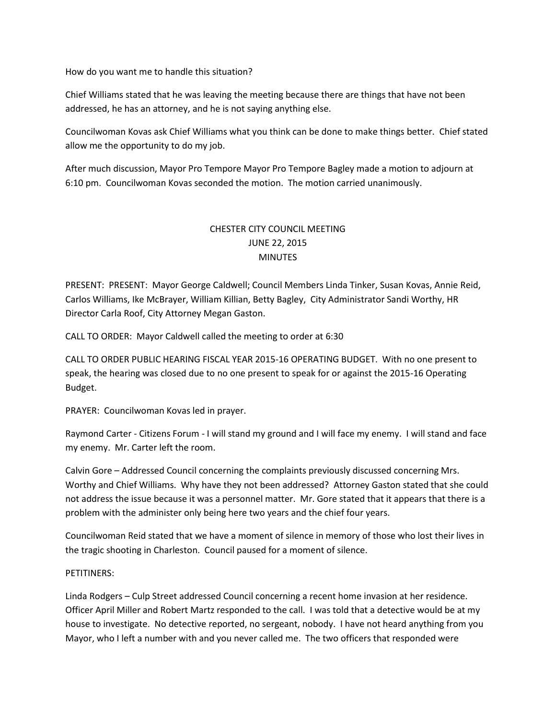How do you want me to handle this situation?

Chief Williams stated that he was leaving the meeting because there are things that have not been addressed, he has an attorney, and he is not saying anything else.

Councilwoman Kovas ask Chief Williams what you think can be done to make things better. Chief stated allow me the opportunity to do my job.

After much discussion, Mayor Pro Tempore Mayor Pro Tempore Bagley made a motion to adjourn at 6:10 pm. Councilwoman Kovas seconded the motion. The motion carried unanimously.

# CHESTER CITY COUNCIL MEETING JUNE 22, 2015 **MINUTES**

PRESENT: PRESENT: Mayor George Caldwell; Council Members Linda Tinker, Susan Kovas, Annie Reid, Carlos Williams, Ike McBrayer, William Killian, Betty Bagley, City Administrator Sandi Worthy, HR Director Carla Roof, City Attorney Megan Gaston.

CALL TO ORDER: Mayor Caldwell called the meeting to order at 6:30

CALL TO ORDER PUBLIC HEARING FISCAL YEAR 2015-16 OPERATING BUDGET. With no one present to speak, the hearing was closed due to no one present to speak for or against the 2015-16 Operating Budget.

PRAYER: Councilwoman Kovas led in prayer.

Raymond Carter - Citizens Forum - I will stand my ground and I will face my enemy. I will stand and face my enemy. Mr. Carter left the room.

Calvin Gore – Addressed Council concerning the complaints previously discussed concerning Mrs. Worthy and Chief Williams. Why have they not been addressed? Attorney Gaston stated that she could not address the issue because it was a personnel matter. Mr. Gore stated that it appears that there is a problem with the administer only being here two years and the chief four years.

Councilwoman Reid stated that we have a moment of silence in memory of those who lost their lives in the tragic shooting in Charleston. Council paused for a moment of silence.

### PETITINERS:

Linda Rodgers – Culp Street addressed Council concerning a recent home invasion at her residence. Officer April Miller and Robert Martz responded to the call. I was told that a detective would be at my house to investigate. No detective reported, no sergeant, nobody. I have not heard anything from you Mayor, who I left a number with and you never called me. The two officers that responded were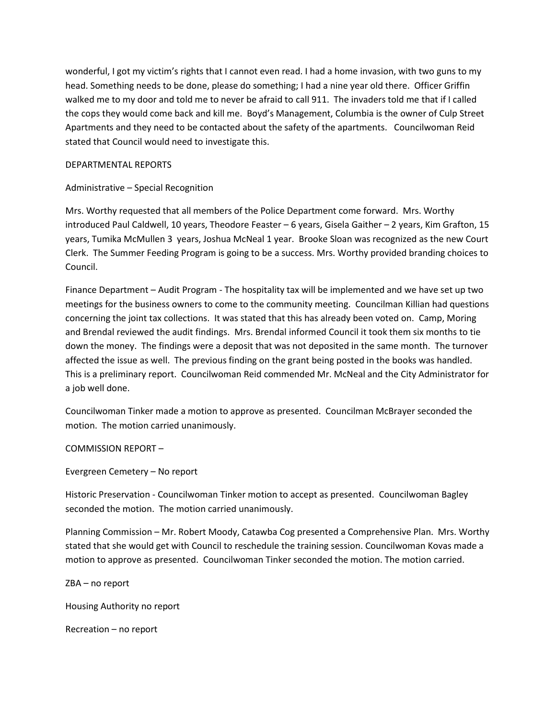wonderful, I got my victim's rights that I cannot even read. I had a home invasion, with two guns to my head. Something needs to be done, please do something; I had a nine year old there. Officer Griffin walked me to my door and told me to never be afraid to call 911. The invaders told me that if I called the cops they would come back and kill me. Boyd's Management, Columbia is the owner of Culp Street Apartments and they need to be contacted about the safety of the apartments. Councilwoman Reid stated that Council would need to investigate this.

#### DEPARTMENTAL REPORTS

### Administrative – Special Recognition

Mrs. Worthy requested that all members of the Police Department come forward. Mrs. Worthy introduced Paul Caldwell, 10 years, Theodore Feaster – 6 years, Gisela Gaither – 2 years, Kim Grafton, 15 years, Tumika McMullen 3 years, Joshua McNeal 1 year. Brooke Sloan was recognized as the new Court Clerk. The Summer Feeding Program is going to be a success. Mrs. Worthy provided branding choices to Council.

Finance Department – Audit Program - The hospitality tax will be implemented and we have set up two meetings for the business owners to come to the community meeting. Councilman Killian had questions concerning the joint tax collections. It was stated that this has already been voted on. Camp, Moring and Brendal reviewed the audit findings. Mrs. Brendal informed Council it took them six months to tie down the money. The findings were a deposit that was not deposited in the same month. The turnover affected the issue as well. The previous finding on the grant being posted in the books was handled. This is a preliminary report. Councilwoman Reid commended Mr. McNeal and the City Administrator for a job well done.

Councilwoman Tinker made a motion to approve as presented. Councilman McBrayer seconded the motion. The motion carried unanimously.

### COMMISSION REPORT –

Evergreen Cemetery – No report

Historic Preservation - Councilwoman Tinker motion to accept as presented. Councilwoman Bagley seconded the motion. The motion carried unanimously.

Planning Commission – Mr. Robert Moody, Catawba Cog presented a Comprehensive Plan. Mrs. Worthy stated that she would get with Council to reschedule the training session. Councilwoman Kovas made a motion to approve as presented. Councilwoman Tinker seconded the motion. The motion carried.

ZBA – no report

Housing Authority no report

Recreation – no report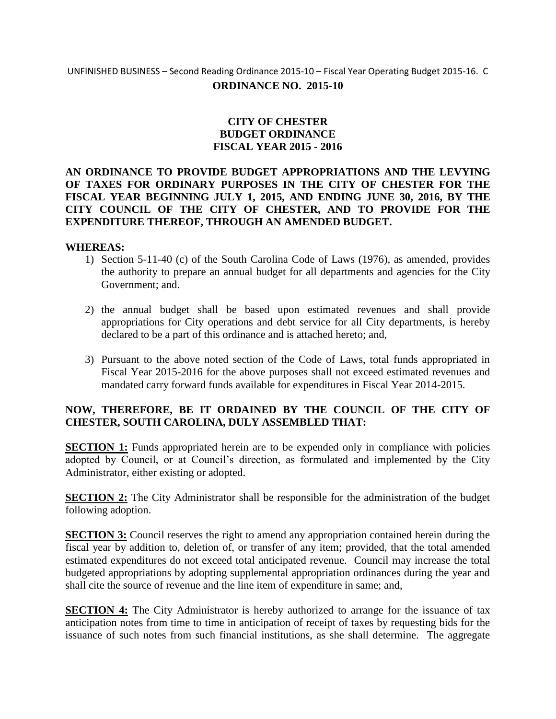## UNFINISHED BUSINESS – Second Reading Ordinance 2015-10 – Fiscal Year Operating Budget 2015-16. C **ORDINANCE NO. 2015-10**

## **CITY OF CHESTER BUDGET ORDINANCE FISCAL YEAR 2015 - 2016**

### **AN ORDINANCE TO PROVIDE BUDGET APPROPRIATIONS AND THE LEVYING OF TAXES FOR ORDINARY PURPOSES IN THE CITY OF CHESTER FOR THE FISCAL YEAR BEGINNING JULY 1, 2015, AND ENDING JUNE 30, 2016, BY THE CITY COUNCIL OF THE CITY OF CHESTER, AND TO PROVIDE FOR THE EXPENDITURE THEREOF, THROUGH AN AMENDED BUDGET.**

### **WHEREAS:**

- 1) Section 5-11-40 (c) of the South Carolina Code of Laws (1976), as amended, provides the authority to prepare an annual budget for all departments and agencies for the City Government; and.
- 2) the annual budget shall be based upon estimated revenues and shall provide appropriations for City operations and debt service for all City departments, is hereby declared to be a part of this ordinance and is attached hereto; and,
- 3) Pursuant to the above noted section of the Code of Laws, total funds appropriated in Fiscal Year 2015-2016 for the above purposes shall not exceed estimated revenues and mandated carry forward funds available for expenditures in Fiscal Year 2014-2015.

## **NOW, THEREFORE, BE IT ORDAINED BY THE COUNCIL OF THE CITY OF CHESTER, SOUTH CAROLINA, DULY ASSEMBLED THAT:**

**SECTION 1:** Funds appropriated herein are to be expended only in compliance with policies adopted by Council, or at Council's direction, as formulated and implemented by the City Administrator, either existing or adopted.

**SECTION 2:** The City Administrator shall be responsible for the administration of the budget following adoption.

**SECTION 3:** Council reserves the right to amend any appropriation contained herein during the fiscal year by addition to, deletion of, or transfer of any item; provided, that the total amended estimated expenditures do not exceed total anticipated revenue. Council may increase the total budgeted appropriations by adopting supplemental appropriation ordinances during the year and shall cite the source of revenue and the line item of expenditure in same; and,

**SECTION 4:** The City Administrator is hereby authorized to arrange for the issuance of tax anticipation notes from time to time in anticipation of receipt of taxes by requesting bids for the issuance of such notes from such financial institutions, as she shall determine. The aggregate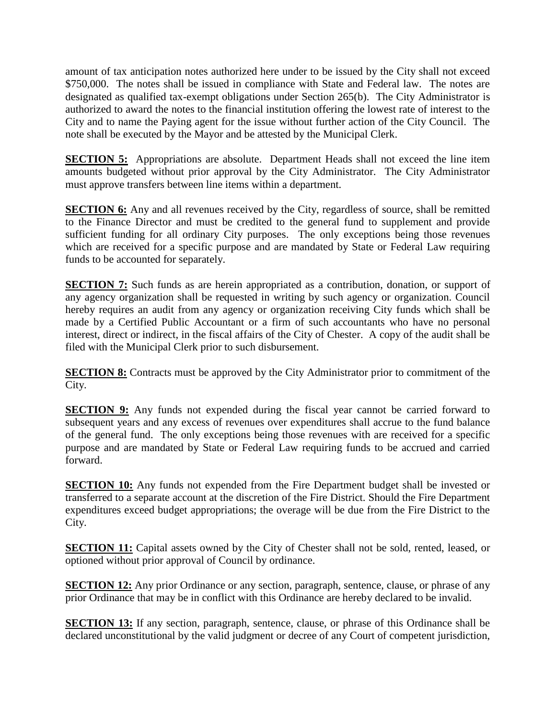amount of tax anticipation notes authorized here under to be issued by the City shall not exceed \$750,000. The notes shall be issued in compliance with State and Federal law. The notes are designated as qualified tax-exempt obligations under Section 265(b). The City Administrator is authorized to award the notes to the financial institution offering the lowest rate of interest to the City and to name the Paying agent for the issue without further action of the City Council. The note shall be executed by the Mayor and be attested by the Municipal Clerk.

**SECTION 5:** Appropriations are absolute. Department Heads shall not exceed the line item amounts budgeted without prior approval by the City Administrator. The City Administrator must approve transfers between line items within a department.

**SECTION 6:** Any and all revenues received by the City, regardless of source, shall be remitted to the Finance Director and must be credited to the general fund to supplement and provide sufficient funding for all ordinary City purposes. The only exceptions being those revenues which are received for a specific purpose and are mandated by State or Federal Law requiring funds to be accounted for separately.

**SECTION 7:** Such funds as are herein appropriated as a contribution, donation, or support of any agency organization shall be requested in writing by such agency or organization. Council hereby requires an audit from any agency or organization receiving City funds which shall be made by a Certified Public Accountant or a firm of such accountants who have no personal interest, direct or indirect, in the fiscal affairs of the City of Chester. A copy of the audit shall be filed with the Municipal Clerk prior to such disbursement.

**SECTION 8:** Contracts must be approved by the City Administrator prior to commitment of the City.

**SECTION 9:** Any funds not expended during the fiscal year cannot be carried forward to subsequent years and any excess of revenues over expenditures shall accrue to the fund balance of the general fund. The only exceptions being those revenues with are received for a specific purpose and are mandated by State or Federal Law requiring funds to be accrued and carried forward.

**SECTION 10:** Any funds not expended from the Fire Department budget shall be invested or transferred to a separate account at the discretion of the Fire District. Should the Fire Department expenditures exceed budget appropriations; the overage will be due from the Fire District to the City.

**SECTION 11:** Capital assets owned by the City of Chester shall not be sold, rented, leased, or optioned without prior approval of Council by ordinance.

**SECTION 12:** Any prior Ordinance or any section, paragraph, sentence, clause, or phrase of any prior Ordinance that may be in conflict with this Ordinance are hereby declared to be invalid.

**SECTION 13:** If any section, paragraph, sentence, clause, or phrase of this Ordinance shall be declared unconstitutional by the valid judgment or decree of any Court of competent jurisdiction,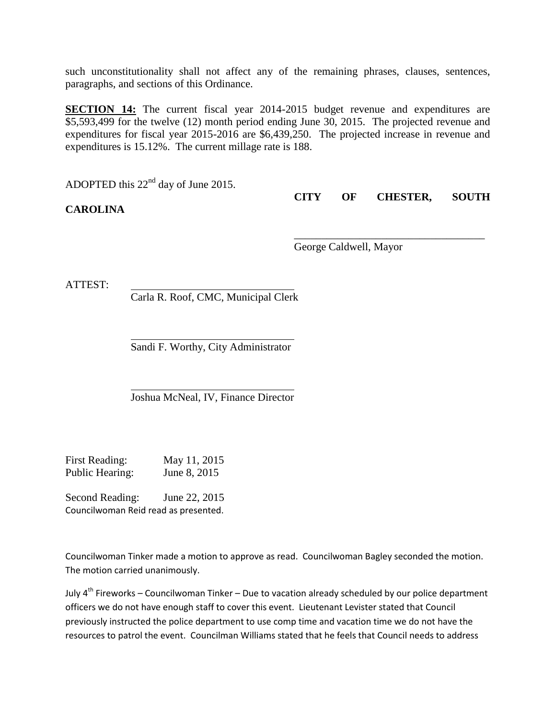such unconstitutionality shall not affect any of the remaining phrases, clauses, sentences, paragraphs, and sections of this Ordinance.

**SECTION 14:** The current fiscal year 2014-2015 budget revenue and expenditures are \$5,593,499 for the twelve (12) month period ending June 30, 2015. The projected revenue and expenditures for fiscal year 2015-2016 are \$6,439,250. The projected increase in revenue and expenditures is 15.12%. The current millage rate is 188.

ADOPTED this 22nd day of June 2015.

**CAROLINA**

**CITY OF CHESTER, SOUTH** 

\_\_\_\_\_\_\_\_\_\_\_\_\_\_\_\_\_\_\_\_\_\_\_\_\_\_\_\_\_\_\_\_\_\_\_

George Caldwell, Mayor

ATTEST:

Carla R. Roof, CMC, Municipal Clerk

l Sandi F. Worthy, City Administrator

Joshua McNeal, IV, Finance Director

First Reading: May 11, 2015 Public Hearing: June 8, 2015

Second Reading: June 22, 2015 Councilwoman Reid read as presented.

Councilwoman Tinker made a motion to approve as read. Councilwoman Bagley seconded the motion. The motion carried unanimously.

 $\overline{a}$ 

July  $4^{th}$  Fireworks – Councilwoman Tinker – Due to vacation already scheduled by our police department officers we do not have enough staff to cover this event. Lieutenant Levister stated that Council previously instructed the police department to use comp time and vacation time we do not have the resources to patrol the event. Councilman Williams stated that he feels that Council needs to address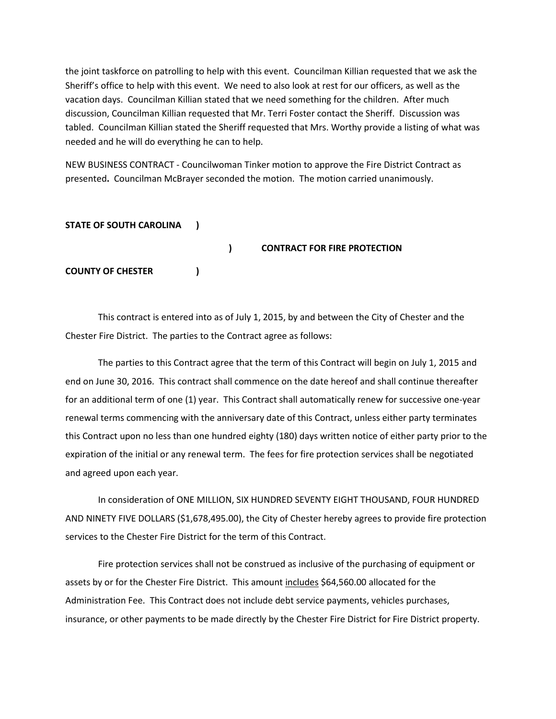the joint taskforce on patrolling to help with this event. Councilman Killian requested that we ask the Sheriff's office to help with this event. We need to also look at rest for our officers, as well as the vacation days. Councilman Killian stated that we need something for the children. After much discussion, Councilman Killian requested that Mr. Terri Foster contact the Sheriff. Discussion was tabled. Councilman Killian stated the Sheriff requested that Mrs. Worthy provide a listing of what was needed and he will do everything he can to help.

NEW BUSINESS CONTRACT - Councilwoman Tinker motion to approve the Fire District Contract as presented**.** Councilman McBrayer seconded the motion. The motion carried unanimously.

### **STATE OF SOUTH CAROLINA )**

**) CONTRACT FOR FIRE PROTECTION COUNTY OF CHESTER )**

This contract is entered into as of July 1, 2015, by and between the City of Chester and the Chester Fire District. The parties to the Contract agree as follows:

The parties to this Contract agree that the term of this Contract will begin on July 1, 2015 and end on June 30, 2016. This contract shall commence on the date hereof and shall continue thereafter for an additional term of one (1) year. This Contract shall automatically renew for successive one-year renewal terms commencing with the anniversary date of this Contract, unless either party terminates this Contract upon no less than one hundred eighty (180) days written notice of either party prior to the expiration of the initial or any renewal term. The fees for fire protection services shall be negotiated and agreed upon each year.

In consideration of ONE MILLION, SIX HUNDRED SEVENTY EIGHT THOUSAND, FOUR HUNDRED AND NINETY FIVE DOLLARS (\$1,678,495.00), the City of Chester hereby agrees to provide fire protection services to the Chester Fire District for the term of this Contract.

Fire protection services shall not be construed as inclusive of the purchasing of equipment or assets by or for the Chester Fire District. This amount includes \$64,560.00 allocated for the Administration Fee. This Contract does not include debt service payments, vehicles purchases, insurance, or other payments to be made directly by the Chester Fire District for Fire District property.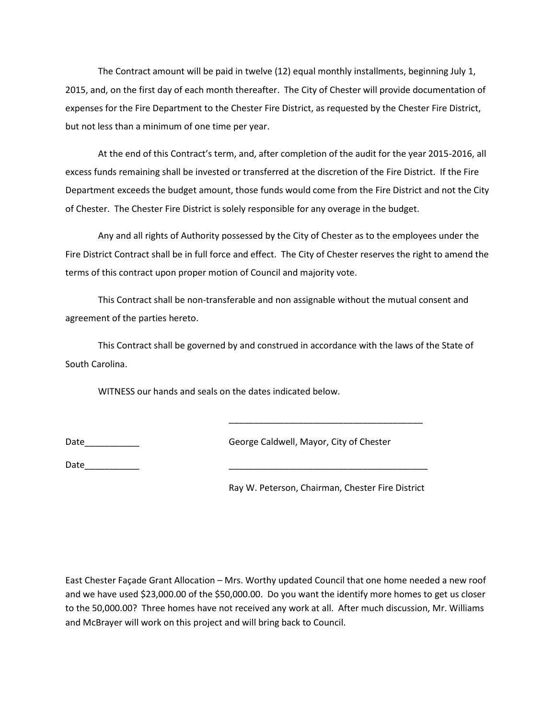The Contract amount will be paid in twelve (12) equal monthly installments, beginning July 1, 2015, and, on the first day of each month thereafter. The City of Chester will provide documentation of expenses for the Fire Department to the Chester Fire District, as requested by the Chester Fire District, but not less than a minimum of one time per year.

At the end of this Contract's term, and, after completion of the audit for the year 2015-2016, all excess funds remaining shall be invested or transferred at the discretion of the Fire District. If the Fire Department exceeds the budget amount, those funds would come from the Fire District and not the City of Chester. The Chester Fire District is solely responsible for any overage in the budget.

Any and all rights of Authority possessed by the City of Chester as to the employees under the Fire District Contract shall be in full force and effect. The City of Chester reserves the right to amend the terms of this contract upon proper motion of Council and majority vote.

This Contract shall be non-transferable and non assignable without the mutual consent and agreement of the parties hereto.

This Contract shall be governed by and construed in accordance with the laws of the State of South Carolina.

WITNESS our hands and seals on the dates indicated below.

Date\_\_\_\_\_\_\_\_\_\_\_ George Caldwell, Mayor, City of Chester

Date

Ray W. Peterson, Chairman, Chester Fire District

\_\_\_\_\_\_\_\_\_\_\_\_\_\_\_\_\_\_\_\_\_\_\_\_\_\_\_\_\_\_\_\_\_\_\_\_\_\_\_

East Chester Façade Grant Allocation – Mrs. Worthy updated Council that one home needed a new roof and we have used \$23,000.00 of the \$50,000.00. Do you want the identify more homes to get us closer to the 50,000.00? Three homes have not received any work at all. After much discussion, Mr. Williams and McBrayer will work on this project and will bring back to Council.